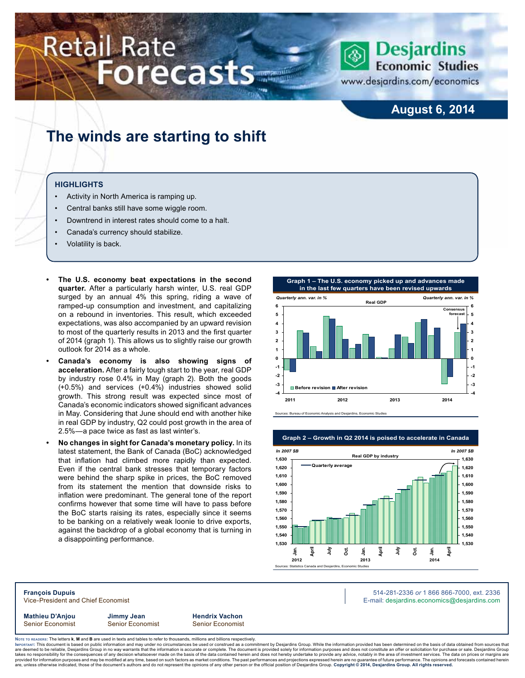# **Retail Rate Forecasts**



www.desjardins.com/economics

### **August 6, 2014**

### **The winds are starting to shift**

#### **Highlights**

- Activity in North America is ramping up.
- Central banks still have some wiggle room.
- Downtrend in interest rates should come to a halt.
- Canada's currency should stabilize.
- Volatility is back.
- **The U.S. economy beat expectations in the second quarter.** After a particularly harsh winter, U.S. real GDP surged by an annual 4% this spring, riding a wave of ramped-up consumption and investment, and capitalizing on a rebound in inventories. This result, which exceeded expectations, was also accompanied by an upward revision to most of the quarterly results in 2013 and the first quarter of 2014 (graph 1). This allows us to slightly raise our growth outlook for 2014 as a whole.
- Canada's economy is also showing signs of **acceleration.** After a fairly tough start to the year, real GDP by industry rose 0.4% in May (graph 2). Both the goods (+0.5%) and services (+0.4%) industries showed solid growth. This strong result was expected since most of Canada's economic indicators showed significant advances in May. Considering that June should end with another hike in real GDP by industry, Q2 could post growth in the area of 2.5%—a pace twice as fast as last winter's.
- **• No changes in sight for Canada's monetary policy.** In its latest statement, the Bank of Canada (BoC) acknowledged that inflation had climbed more rapidly than expected. Even if the central bank stresses that temporary factors were behind the sharp spike in prices, the BoC removed from its statement the mention that downside risks to inflation were predominant. The general tone of the report confirms however that some time will have to pass before the BoC starts raising its rates, especially since it seems to be banking on a relatively weak loonie to drive exports, against the backdrop of a global economy that is turning in a disappointing performance.







**François Dupuis** 514-281-2336 *or* 1 866 866-7000, ext. 2336 Vice-President and Chief Economist **E-mail: designediate and Chief Economist** E-mail: designediate economics@desjardins.com

**Mathieu D'Anjou Jimmy Jean Hendrix Vachon** Senior Economist Senior Economist Senior Economist

Noте то келоекs: The letters **k, M** and **B** are used in texts and tables to refer to thousands, millions and billions respectively.<br>Імроктлит: This document is based on public information and may under no circumstances be are deemed to be reliable, Desjardins Group in no way warrants that the information is accurate or complete. The document is provided solely for information purposes and does not constitute an offer or solicitation for pur takes no responsibility for the consequences of any decision whatsoever made on the basis of the data contained herein and does not hereby undertake to provide any advice, notably in the area of investment services. The da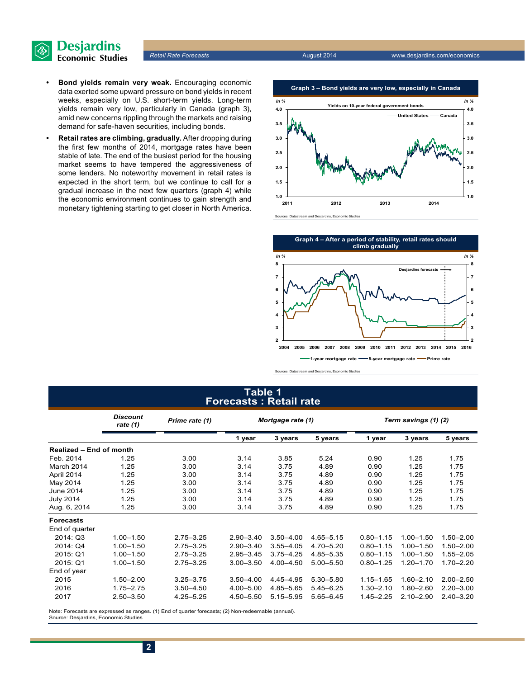

- **• Bond yields remain very weak.** Encouraging economic data exerted some upward pressure on bond yields in recent weeks, especially on U.S. short-term yields. Long-term yields remain very low, particularly in Canada (graph 3), amid new concerns rippling through the markets and raising demand for safe-haven securities, including bonds.
- **• Retail rates are climbing, gradually.** After dropping during the first few months of 2014, mortgage rates have been stable of late. The end of the busiest period for the housing market seems to have tempered the aggressiveness of some lenders. No noteworthy movement in retail rates is expected in the short term, but we continue to call for a gradual increase in the next few quarters (graph 4) while the economic environment continues to gain strength and monetary tightening starting to get closer in North America.





Sources: Datastream and Desjardins, Economic Studies

### **Table 1 Forecasts : Retail rate**

|                                | <b>Discount</b><br>rate $(1)$ | Prime rate (1) |               | Mortgage rate (1) |               | Term savings (1) (2) |               |               |  |
|--------------------------------|-------------------------------|----------------|---------------|-------------------|---------------|----------------------|---------------|---------------|--|
|                                |                               |                | 1 year        | 3 years           | 5 years       | 1 year               | 3 years       | 5 years       |  |
| <b>Realized - End of month</b> |                               |                |               |                   |               |                      |               |               |  |
| Feb. 2014                      | 1.25                          | 3.00           | 3.14          | 3.85              | 5.24          | 0.90                 | 1.25          | 1.75          |  |
| March 2014                     | 1.25                          | 3.00           | 3.14          | 3.75              | 4.89          | 0.90                 | 1.25          | 1.75          |  |
| April 2014                     | 1.25                          | 3.00           | 3.14          | 3.75              | 4.89          | 0.90                 | 1.25          | 1.75          |  |
| May 2014                       | 1.25                          | 3.00           | 3.14          | 3.75              | 4.89          | 0.90                 | 1.25          | 1.75          |  |
| June 2014                      | 1.25                          | 3.00           | 3.14          | 3.75              | 4.89          | 0.90                 | 1.25          | 1.75          |  |
| <b>July 2014</b>               | 1.25                          | 3.00           | 3.14          | 3.75              | 4.89          | 0.90                 | 1.25          | 1.75          |  |
| Aug. 6, 2014                   | 1.25                          | 3.00           | 3.14          | 3.75              | 4.89          | 0.90                 | 1.25          | 1.75          |  |
| <b>Forecasts</b>               |                               |                |               |                   |               |                      |               |               |  |
| End of quarter                 |                               |                |               |                   |               |                      |               |               |  |
| 2014: Q3                       | $1.00 - 1.50$                 | $2.75 - 3.25$  | $2.90 - 3.40$ | $3.50 - 4.00$     | $4.65 - 5.15$ | $0.80 - 1.15$        | $1.00 - 1.50$ | $1.50 - 2.00$ |  |
| 2014: Q4                       | $1.00 - 1.50$                 | $2.75 - 3.25$  | $2.90 - 3.40$ | $3.55 - 4.05$     | $4.70 - 5.20$ | $0.80 - 1.15$        | $1.00 - 1.50$ | $1.50 - 2.00$ |  |
| 2015: Q1                       | $1.00 - 1.50$                 | $2.75 - 3.25$  | $2.95 - 3.45$ | $3.75 - 4.25$     | 4.85 - 5.35   | $0.80 - 1.15$        | $1.00 - 1.50$ | $1.55 - 2.05$ |  |
| 2015: Q1                       | $1.00 - 1.50$                 | $2.75 - 3.25$  | $3.00 - 3.50$ | $4.00 - 4.50$     | $5.00 - 5.50$ | $0.80 - 1.25$        | $1.20 - 1.70$ | $1.70 - 2.20$ |  |
| End of year                    |                               |                |               |                   |               |                      |               |               |  |
| 2015                           | $1.50 - 2.00$                 | $3.25 - 3.75$  | $3.50 - 4.00$ | 4.45 - 4.95       | $5.30 - 5.80$ | $1.15 - 1.65$        | $1.60 - 2.10$ | $2.00 - 2.50$ |  |
| 2016                           | $1.75 - 2.75$                 | $3.50 - 4.50$  | $4.00 - 5.00$ | 4.85-5.65         | $5.45 - 6.25$ | $1.30 - 2.10$        | $1.80 - 2.60$ | $2.20 - 3.00$ |  |
| 2017                           | $2.50 - 3.50$                 | $4.25 - 5.25$  | 4.50 - 5.50   | $5.15 - 5.95$     | $5.65 - 6.45$ | $1.45 - 2.25$        | $2.10 - 2.90$ | $2.40 - 3.20$ |  |

Note: Forecasts are expressed as ranges. (1) End of quarter forecasts; (2) Non-redeemable (annual). Source: Desjardins, Economic Studies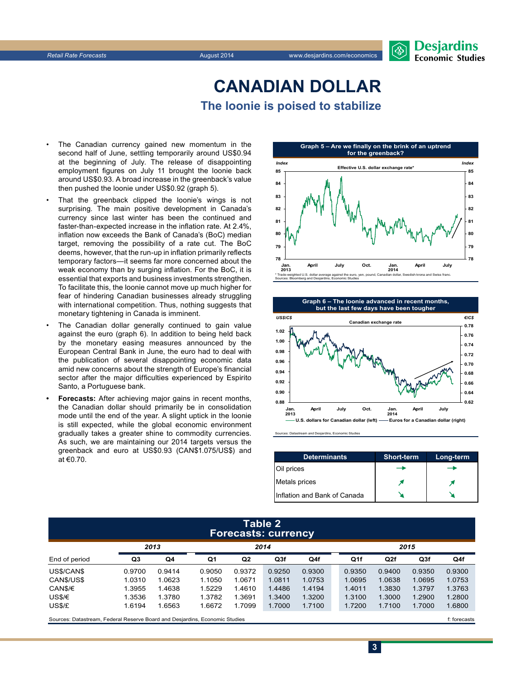### **CanadiAn Dollar The loonie is poised to stabilize**

- The Canadian currency gained new momentum in the second half of June, settling temporarily around US\$0.94 at the beginning of July. The release of disappointing employment figures on July 11 brought the loonie back around US\$0.93. A broad increase in the greenback's value then pushed the loonie under US\$0.92 (graph 5).
- That the greenback clipped the loonie's wings is not surprising. The main positive development in Canada's currency since last winter has been the continued and faster-than-expected increase in the inflation rate. At 2.4%, inflation now exceeds the Bank of Canada's (BoC) median target, removing the possibility of a rate cut. The BoC deems, however, that the run-up in inflation primarily reflects temporary factors—it seems far more concerned about the weak economy than by surging inflation. For the BoC, it is essential that exports and business investments strengthen. To facilitate this, the loonie cannot move up much higher for fear of hindering Canadian businesses already struggling with international competition. Thus, nothing suggests that monetary tightening in Canada is imminent.
- The Canadian dollar generally continued to gain value against the euro (graph 6). In addition to being held back by the monetary easing measures announced by the European Central Bank in June, the euro had to deal with the publication of several disappointing economic data amid new concerns about the strength of Europe's financial sector after the major difficulties experienced by Espirito Santo, a Portuguese bank.
- **Forecasts:** After achieving major gains in recent months, the Canadian dollar should primarily be in consolidation mode until the end of the year. A slight uptick in the loonie is still expected, while the global economic environment gradually takes a greater shine to commodity currencies. As such, we are maintaining our 2014 targets versus the greenback and euro at US\$0.93 (CAN\$1.075/US\$) and at €0.70.





Sources: Datastream and Desjardins, Economic Studies

| <b>Determinants</b>          | <b>Short-term</b> | Long-term |
|------------------------------|-------------------|-----------|
| Oil prices                   |                   |           |
| Metals prices                |                   |           |
| Inflation and Bank of Canada |                   |           |

**3**

#### **Table 2 Forecasts: currency**

|               | 2013   |        | 2014   |                |        |        |        | 2015 |        |                 |        |
|---------------|--------|--------|--------|----------------|--------|--------|--------|------|--------|-----------------|--------|
| End of period | Q3     | Q4     | Q1     | Q <sub>2</sub> | Q3f    | Q4f    |        | Q1f  | Q2f    | Q <sub>3f</sub> | Q4f    |
| US\$/CAN\$    | 0.9700 | 0.9414 | 0.9050 | 0.9372         | 0.9250 | 0.9300 | 0.9350 |      | 0.9400 | 0.9350          | 0.9300 |
| CANS/USS      | 1.0310 | 1.0623 | 1.1050 | 1.0671         | 1.0811 | 1.0753 | 1.0695 |      | 1.0638 | 1.0695          | 1.0753 |
| CAN\$/€       | 1.3955 | 1.4638 | 1.5229 | 1.4610         | 1.4486 | 1.4194 | 1.4011 |      | 1.3830 | 1.3797          | 1.3763 |
| US\$/€        | 1.3536 | 1.3780 | 1.3782 | 1.3691         | 1.3400 | 1.3200 | 1.3100 |      | 1.3000 | 1.2900          | 1.2800 |
| US\$/£        | 1.6194 | 1.6563 | 1.6672 | 1.7099         | 1.7000 | 1.7100 | 1.7200 |      | 1.7100 | 1.7000          | 1.6800 |
| $\sim$        |        |        |        |                |        |        |        |      |        |                 | $ -$   |

Sources: Datastream, Federal Reserve Board and Desjardins, Economic Studies files for example of the studies files forecasts files forecasts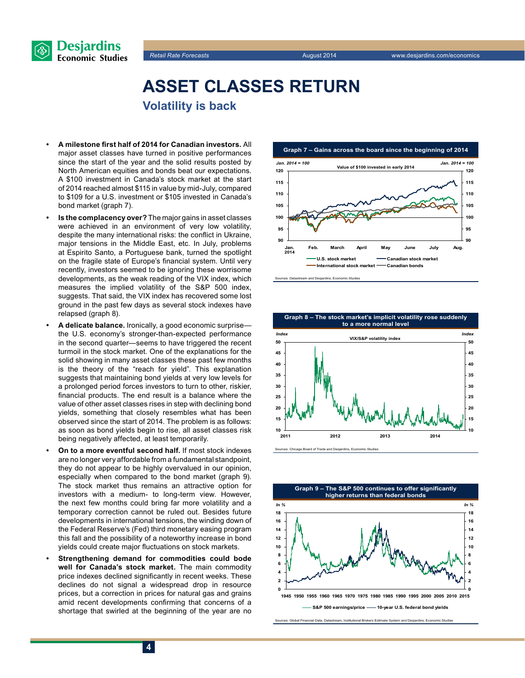



## **Asset classes return Volatility is back**

- **• A milestone first half of 2014 for Canadian investors.** All major asset classes have turned in positive performances since the start of the year and the solid results posted by North American equities and bonds beat our expectations. A \$100 investment in Canada's stock market at the start of 2014 reached almost \$115 in value by mid-July, compared to \$109 for a U.S. investment or \$105 invested in Canada's bond market (graph 7).
- **Is the complacency over?** The major gains in asset classes were achieved in an environment of very low volatility, despite the many international risks: the conflict in Ukraine, major tensions in the Middle East, etc. In July, problems at Espirito Santo, a Portuguese bank, turned the spotlight on the fragile state of Europe's financial system. Until very recently, investors seemed to be ignoring these worrisome developments, as the weak reading of the VIX index, which measures the implied volatility of the S&P 500 index, suggests. That said, the VIX index has recovered some lost ground in the past few days as several stock indexes have relapsed (graph 8).
- A delicate balance. Ironically, a good economic surprise the U.S. economy's stronger-than-expected performance in the second quarter—seems to have triggered the recent turmoil in the stock market. One of the explanations for the solid showing in many asset classes these past few months is the theory of the "reach for yield". This explanation suggests that maintaining bond yields at very low levels for a prolonged period forces investors to turn to other, riskier, financial products. The end result is a balance where the value of other asset classes rises in step with declining bond yields, something that closely resembles what has been observed since the start of 2014. The problem is as follows: as soon as bond yields begin to rise, all asset classes risk being negatively affected, at least temporarily.
- **On to a more eventful second half.** If most stock indexes are no longer very affordable from a fundamental standpoint, they do not appear to be highly overvalued in our opinion, especially when compared to the bond market (graph 9). The stock market thus remains an attractive option for investors with a medium- to long-term view. However, the next few months could bring far more volatility and a temporary correction cannot be ruled out. Besides future developments in international tensions, the winding down of the Federal Reserve's (Fed) third monetary easing program this fall and the possibility of a noteworthy increase in bond yields could create major fluctuations on stock markets.
- **Strengthening demand for commodities could bode well for Canada's stock market.** The main commodity price indexes declined significantly in recent weeks. These declines do not signal a widespread drop in resource prices, but a correction in prices for natural gas and grains amid recent developments confirming that concerns of a shortage that swirled at the beginning of the year are no



ources: Datastream and Desjardins, Economic Studies